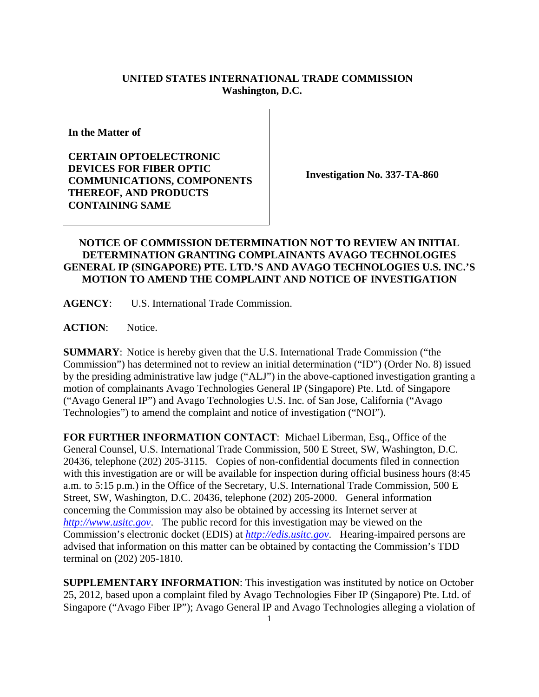## **UNITED STATES INTERNATIONAL TRADE COMMISSION Washington, D.C.**

**In the Matter of** 

**CERTAIN OPTOELECTRONIC DEVICES FOR FIBER OPTIC COMMUNICATIONS, COMPONENTS THEREOF, AND PRODUCTS CONTAINING SAME** 

**Investigation No. 337-TA-860**

## **NOTICE OF COMMISSION DETERMINATION NOT TO REVIEW AN INITIAL DETERMINATION GRANTING COMPLAINANTS AVAGO TECHNOLOGIES GENERAL IP (SINGAPORE) PTE. LTD.'S AND AVAGO TECHNOLOGIES U.S. INC.'S MOTION TO AMEND THE COMPLAINT AND NOTICE OF INVESTIGATION**

**AGENCY**: U.S. International Trade Commission.

**ACTION**: Notice.

**SUMMARY**: Notice is hereby given that the U.S. International Trade Commission ("the Commission") has determined not to review an initial determination ("ID") (Order No. 8) issued by the presiding administrative law judge ("ALJ") in the above-captioned investigation granting a motion of complainants Avago Technologies General IP (Singapore) Pte. Ltd. of Singapore ("Avago General IP") and Avago Technologies U.S. Inc. of San Jose, California ("Avago Technologies") to amend the complaint and notice of investigation ("NOI").

**FOR FURTHER INFORMATION CONTACT**: Michael Liberman, Esq., Office of the General Counsel, U.S. International Trade Commission, 500 E Street, SW, Washington, D.C. 20436, telephone (202) 205-3115. Copies of non-confidential documents filed in connection with this investigation are or will be available for inspection during official business hours (8:45 a.m. to 5:15 p.m.) in the Office of the Secretary, U.S. International Trade Commission, 500 E Street, SW, Washington, D.C. 20436, telephone (202) 205-2000. General information concerning the Commission may also be obtained by accessing its Internet server at *http://www.usitc.gov*. The public record for this investigation may be viewed on the Commission's electronic docket (EDIS) at *http://edis.usitc.gov*. Hearing-impaired persons are advised that information on this matter can be obtained by contacting the Commission's TDD terminal on (202) 205-1810.

**SUPPLEMENTARY INFORMATION**: This investigation was instituted by notice on October 25, 2012, based upon a complaint filed by Avago Technologies Fiber IP (Singapore) Pte. Ltd. of Singapore ("Avago Fiber IP"); Avago General IP and Avago Technologies alleging a violation of